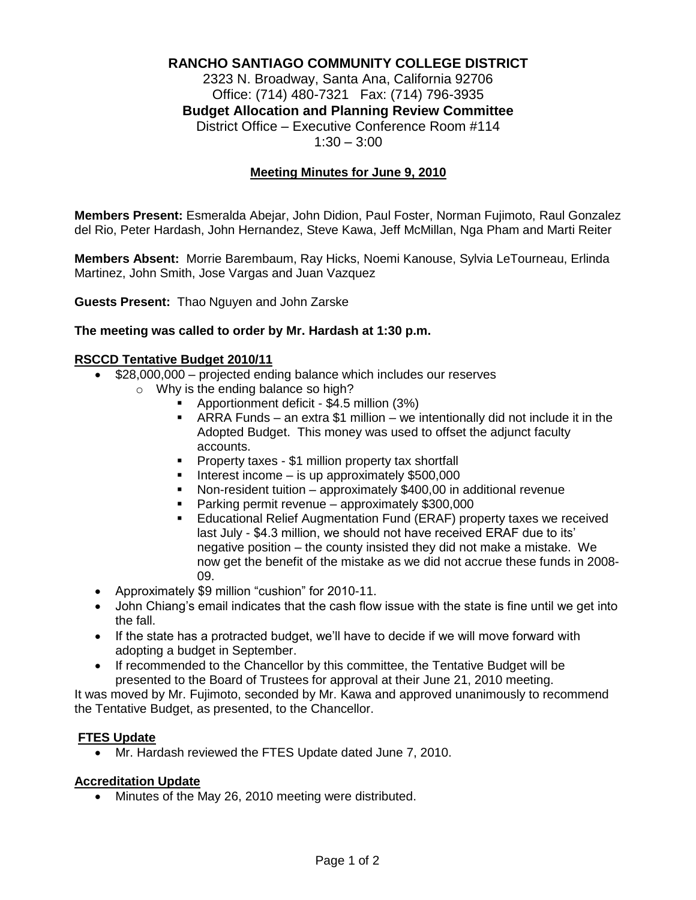# **RANCHO SANTIAGO COMMUNITY COLLEGE DISTRICT**

2323 N. Broadway, Santa Ana, California 92706 Office: (714) 480-7321 Fax: (714) 796-3935 **Budget Allocation and Planning Review Committee** District Office – Executive Conference Room #114  $1:30 - 3:00$ 

#### **Meeting Minutes for June 9, 2010**

**Members Present:** Esmeralda Abejar, John Didion, Paul Foster, Norman Fujimoto, Raul Gonzalez del Rio, Peter Hardash, John Hernandez, Steve Kawa, Jeff McMillan, Nga Pham and Marti Reiter

**Members Absent:** Morrie Barembaum, Ray Hicks, Noemi Kanouse, Sylvia LeTourneau, Erlinda Martinez, John Smith, Jose Vargas and Juan Vazquez

**Guests Present:** Thao Nguyen and John Zarske

#### **The meeting was called to order by Mr. Hardash at 1:30 p.m.**

#### **RSCCD Tentative Budget 2010/11**

- \$28,000,000 projected ending balance which includes our reserves
	- o Why is the ending balance so high?
		- Apportionment deficit \$4.5 million (3%)
		- ARRA Funds an extra \$1 million we intentionally did not include it in the Adopted Budget. This money was used to offset the adjunct faculty accounts.
		- **Property taxes \$1 million property tax shortfall**
		- $\blacksquare$  Interest income is up approximately \$500,000
		- Non-resident tuition approximately \$400,00 in additional revenue
		- **Parking permit revenue approximately \$300,000**
		- Educational Relief Augmentation Fund (ERAF) property taxes we received last July - \$4.3 million, we should not have received ERAF due to its' negative position – the county insisted they did not make a mistake. We now get the benefit of the mistake as we did not accrue these funds in 2008- 09.
- Approximately \$9 million "cushion" for 2010-11.
- John Chiang's email indicates that the cash flow issue with the state is fine until we get into the fall.
- If the state has a protracted budget, we'll have to decide if we will move forward with adopting a budget in September.
- If recommended to the Chancellor by this committee, the Tentative Budget will be presented to the Board of Trustees for approval at their June 21, 2010 meeting.

It was moved by Mr. Fujimoto, seconded by Mr. Kawa and approved unanimously to recommend the Tentative Budget, as presented, to the Chancellor.

#### **FTES Update**

Mr. Hardash reviewed the FTES Update dated June 7, 2010.

#### **Accreditation Update**

Minutes of the May 26, 2010 meeting were distributed.